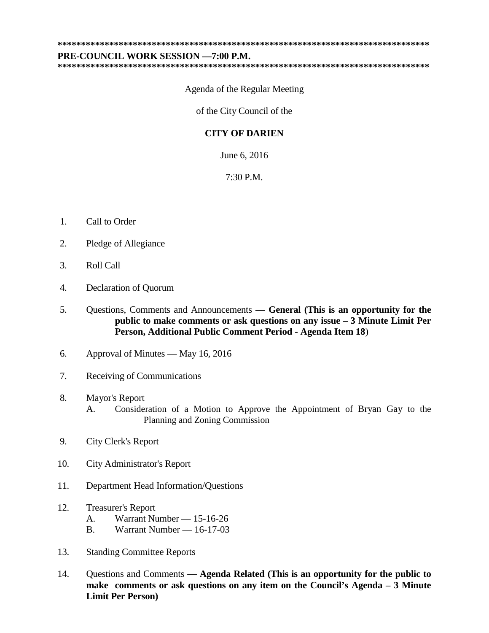## **\*\*\*\*\*\*\*\*\*\*\*\*\*\*\*\*\*\*\*\*\*\*\*\*\*\*\*\*\*\*\*\*\*\*\*\*\*\*\*\*\*\*\*\*\*\*\*\*\*\*\*\*\*\*\*\*\*\*\*\*\*\*\*\*\*\*\*\*\*\*\*\*\*\*\*\*\*\*\***

**\*\*\*\*\*\*\*\*\*\*\*\*\*\*\*\*\*\*\*\*\*\*\*\*\*\*\*\*\*\*\*\*\*\*\*\*\*\*\*\*\*\*\*\*\*\*\*\*\*\*\*\*\*\*\*\*\*\*\*\*\*\*\*\*\*\*\*\*\*\*\*\*\*\*\*\*\*\*\***

## **PRE-COUNCIL WORK SESSION —7:00 P.M.**

Agenda of the Regular Meeting

of the City Council of the

## **CITY OF DARIEN**

June 6, 2016

7:30 P.M.

- 1. Call to Order
- 2. Pledge of Allegiance
- 3. Roll Call
- 4. Declaration of Quorum
- 5. Questions, Comments and Announcements **— General (This is an opportunity for the public to make comments or ask questions on any issue – 3 Minute Limit Per Person, Additional Public Comment Period - Agenda Item 18**)
- 6. Approval of Minutes May 16, 2016
- 7. Receiving of Communications
- 8. Mayor's Report
	- A. Consideration of a Motion to Approve the Appointment of Bryan Gay to the Planning and Zoning Commission
- 9. City Clerk's Report
- 10. City Administrator's Report
- 11. Department Head Information/Questions
- 12. Treasurer's Report
	- A. Warrant Number 15-16-26
	- B. Warrant Number 16-17-03
- 13. Standing Committee Reports
- 14. Questions and Comments **— Agenda Related (This is an opportunity for the public to make comments or ask questions on any item on the Council's Agenda – 3 Minute Limit Per Person)**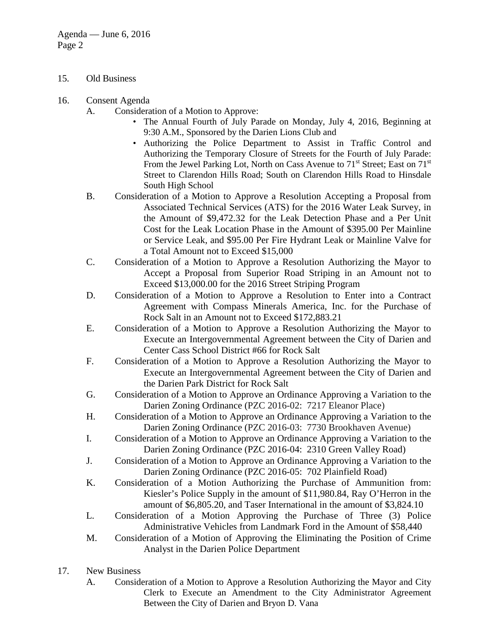- 15. Old Business
- 16. Consent Agenda
	- A. Consideration of a Motion to Approve:
		- The Annual Fourth of July Parade on Monday, July 4, 2016, Beginning at 9:30 A.M., Sponsored by the Darien Lions Club and
		- Authorizing the Police Department to Assist in Traffic Control and Authorizing the Temporary Closure of Streets for the Fourth of July Parade: From the Jewel Parking Lot, North on Cass Avenue to 71<sup>st</sup> Street; East on 71<sup>st</sup> Street to Clarendon Hills Road; South on Clarendon Hills Road to Hinsdale South High School
	- B. Consideration of a Motion to Approve a Resolution Accepting a Proposal from Associated Technical Services (ATS) for the 2016 Water Leak Survey, in the Amount of \$9,472.32 for the Leak Detection Phase and a Per Unit Cost for the Leak Location Phase in the Amount of \$395.00 Per Mainline or Service Leak, and \$95.00 Per Fire Hydrant Leak or Mainline Valve for a Total Amount not to Exceed \$15,000
	- C. Consideration of a Motion to Approve a Resolution Authorizing the Mayor to Accept a Proposal from Superior Road Striping in an Amount not to Exceed \$13,000.00 for the 2016 Street Striping Program
	- D. Consideration of a Motion to Approve a Resolution to Enter into a Contract Agreement with Compass Minerals America, Inc. for the Purchase of Rock Salt in an Amount not to Exceed \$172,883.21
	- E. Consideration of a Motion to Approve a Resolution Authorizing the Mayor to Execute an Intergovernmental Agreement between the City of Darien and Center Cass School District #66 for Rock Salt
	- F. Consideration of a Motion to Approve a Resolution Authorizing the Mayor to Execute an Intergovernmental Agreement between the City of Darien and the Darien Park District for Rock Salt
	- G. Consideration of a Motion to Approve an Ordinance Approving a Variation to the Darien Zoning Ordinance (PZC 2016-02: 7217 Eleanor Place)
	- H. Consideration of a Motion to Approve an Ordinance Approving a Variation to the Darien Zoning Ordinance (PZC 2016-03: 7730 Brookhaven Avenue)
	- I. Consideration of a Motion to Approve an Ordinance Approving a Variation to the Darien Zoning Ordinance (PZC 2016-04: 2310 Green Valley Road)
	- J. Consideration of a Motion to Approve an Ordinance Approving a Variation to the Darien Zoning Ordinance (PZC 2016-05: 702 Plainfield Road)
	- K. Consideration of a Motion Authorizing the Purchase of Ammunition from: Kiesler's Police Supply in the amount of \$11,980.84, Ray O'Herron in the amount of \$6,805.20, and Taser International in the amount of \$3,824.10
	- L. Consideration of a Motion Approving the Purchase of Three (3) Police Administrative Vehicles from Landmark Ford in the Amount of \$58,440
	- M. Consideration of a Motion of Approving the Eliminating the Position of Crime Analyst in the Darien Police Department
- 17. New Business
	- A. Consideration of a Motion to Approve a Resolution Authorizing the Mayor and City Clerk to Execute an Amendment to the City Administrator Agreement Between the City of Darien and Bryon D. Vana